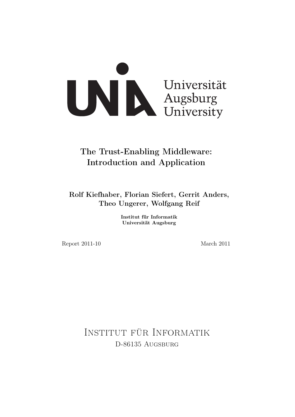

# The Trust-Enabling Middleware: Introduction and Application

Rolf Kiefhaber, Florian Siefert, Gerrit Anders, Theo Ungerer, Wolfgang Reif

> Institut für Informatik Universität Augsburg

Report 2011-10 March 2011

Institut für Informatik D-86135 AUGSBURG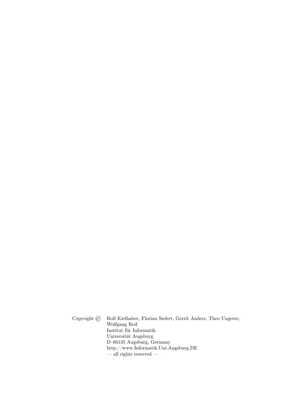Copyright © Rolf Kiefhaber, Florian Siefert, Gerrit Anders, Theo Ungerer, Wolfgang Reif Institut für Informatik Universität Augsburg D–86135 Augsburg, Germany http://www.Informatik.Uni-Augsburg.DE  $-\frac{1}{2}$  rights reserved  $-$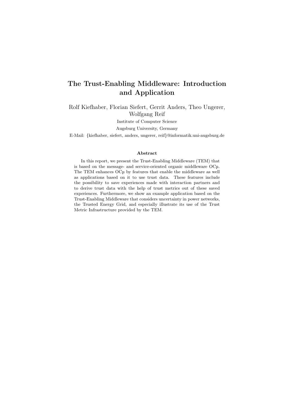## The Trust-Enabling Middleware: Introduction and Application

Rolf Kiefhaber, Florian Siefert, Gerrit Anders, Theo Ungerer, Wolfgang Reif

Institute of Computer Science

Augsburg University, Germany

E-Mail: {kiefhaber, siefert, anders, ungerer, reif}@informatik.uni-augsburg.de

#### Abstract

In this report, we present the Trust-Enabling Middleware (TEM) that is based on the message- and service-oriented organic middleware OCµ. The TEM enhances OCµ by features that enable the middleware as well as applications based on it to use trust data. These features include the possibility to save experiences made with interaction partners and to derive trust data with the help of trust metrics out of these saved experiences. Furthermore, we show an example application based on the Trust-Enabling Middleware that considers uncertainty in power networks, the Trusted Energy Grid, and especially illustrate its use of the Trust Metric Infrastructure provided by the TEM.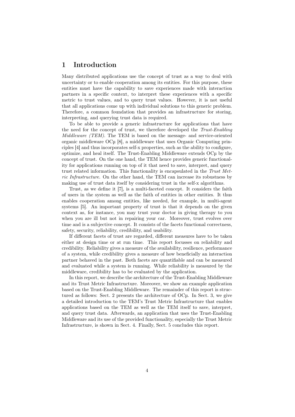## 1 Introduction

Many distributed applications use the concept of trust as a way to deal with uncertainty or to enable cooperation among its entities. For this purpose, these entities must have the capability to save experiences made with interaction partners in a specific context, to interpret these experiences with a specific metric to trust values, and to query trust values. However, it is not useful that all applications come up with individual solutions to this generic problem. Therefore, a common foundation that provides an infrastructure for storing, interpreting, and querying trust data is required.

To be able to provide a generic infrastructure for applications that have the need for the concept of trust, we therefore developed the Trust-Enabling Middleware (TEM). The TEM is based on the message- and service-oriented organic middleware OCµ [\[8\]](#page-17-0), a middleware that uses Organic Computing principles [\[4\]](#page-17-1) and thus incorporates self-x properties, such as the ability to configure, optimize, and heal itself. The Trust-Enabling Middleware extends OCµ by the concept of trust. On the one hand, the TEM hence provides generic functionality for applications running on top of it that need to save, interpret, and query trust related information. This functionality is encapsulated in the Trust Metric Infrastructure. On the other hand, the TEM can increase its robustness by making use of trust data itself by considering trust in the self-x algorithms.

Trust, as we define it [\[7\]](#page-17-2), is a multi-faceted concept. It considers the faith of users in the system as well as the faith of entities in other entities. It thus enables cooperation among entities, like needed, for example, in multi-agent systems [\[5\]](#page-17-3). An important property of trust is that it depends on the given context as, for instance, you may trust your doctor in giving therapy to you when you are ill but not in repairing your car. Moreover, trust evolves over time and is a subjective concept. It consists of the facets functional correctness, safety, security, reliability, credibility, and usability.

If different facets of trust are regarded, different measures have to be taken either at design time or at run time. This report focusses on reliability and credibility. Reliability gives a measure of the availability, resilience, performance of a system, while credibility gives a measure of how beneficially an interaction partner behaved in the past. Both facets are quantifiable and can be measured and evaluated while a system is running. While reliability is measured by the middleware, credibility has to be evaluated by the application.

In this report, we describe the architecture of the Trust-Enabling Middleware and its Trust Metric Infrastructure. Moreover, we show an example application based on the Trust-Enabling Middleware. The remainder of this report is structured as follows: Sect. [2](#page-4-0) presents the architecture of OCµ. In Sect. [3,](#page-7-0) we give a detailed introduction to the TEM's Trust Metric Infrastructure that enables applications based on the TEM as well as the TEM itself to save, interpret, and query trust data. Afterwards, an application that uses the Trust-Enabling Middleware and its use of the provided functionality, especially the Trust Metric Infrastructure, is shown in Sect. [4.](#page-12-0) Finally, Sect. [5](#page-15-0) concludes this report.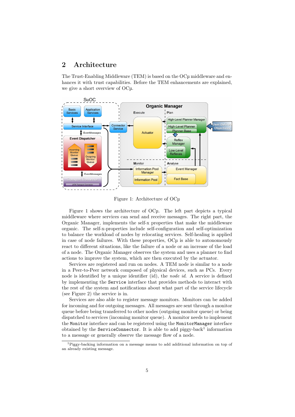## <span id="page-4-0"></span>2 Architecture

The Trust-Enabling Middleware (TEM) is based on the OCµ middleware and enhances it with trust capabilities. Before the TEM enhancements are explained, we give a short overview of OCµ.



<span id="page-4-1"></span>Figure 1: Architecture of OCµ

Figure [1](#page-4-1) shows the architecture of OCµ. The left part depicts a typical middleware where services can send and receive messages. The right part, the Organic Manager, implements the self-x properties that make the middleware organic. The self-x-properties include self-configuration and self-optimization to balance the workload of nodes by relocating services. Self-healing is applied in case of node failures. With these properties, OCµ is able to autonomously react to different situations, like the failure of a node or an increase of the load of a node. The Organic Manager observes the system and uses a planner to find actions to improve the system, which are then executed by the actuator.

Services are registered and run on nodes. A TEM node is similar to a node in a Peer-to-Peer network composed of physical devices, such as PCs. Every node is identified by a unique identifier (id), the node id. A service is defined by implementing the Service interface that provides methods to interact with the rest of the system and notifications about what part of the service lifecycle (see Figure [2\)](#page-5-0) the service is in.

Services are also able to register message monitors. Monitors can be added for incoming and for outgoing messages. All messages are sent through a monitor queue before being transferred to other nodes (outgoing monitor queue) or being dispatched to services (incoming monitor queue). A monitor needs to implement the Monitor interface and can be registered using the MonitorManager interface obtained by the ServiceConnector. It is able to add piggy-back<sup>[1](#page-4-2)</sup> information to a message or generally observe the message flow of a node.

<span id="page-4-2"></span><sup>&</sup>lt;sup>1</sup>Piggy-backing information on a message means to add additional information on top of an already existing message.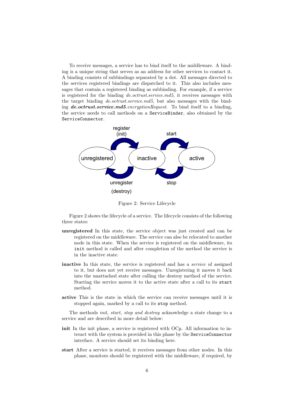To receive messages, a service has to bind itself to the middleware. A binding is a unique string that serves as an address for other services to contact it. A binding consists of subbindings separated by a dot. All messages directed to the services registered bindings are dispatched to it. This also includes messages that contain a registered binding as subbinding. For example, if a service is registered for the binding de.octrust.service.md5, it receives messages with the target binding *de.octrust.service.md5*, but also messages with the binding **de.octrust.service.md5**.encryptionRequest. To bind itself to a binding, the service needs to call methods on a ServiceBinder, also obtained by the ServiceConnector.



<span id="page-5-0"></span>Figure 2: Service Lifecycle

Figure [2](#page-5-0) shows the lifecycle of a service. The lifecycle consists of the following three states:

- unregistered In this state, the service object was just created and can be registered on the middleware. The service can also be relocated to another node in this state. When the service is registered on the middleware, its init method is called and after completion of the method the service is in the inactive state.
- inactive In this state, the service is registered and has a *service id* assigned to it, but does not yet receive messages. Unregistering it moves it back into the unattached state after calling the destroy method of the service. Starting the service moves it to the active state after a call to its start method.
- active This is the state in which the service can receive messages until it is stopped again, marked by a call to its stop method.

The methods init, start, stop and destroy acknowledge a state change to a service and are described in more detail below:

- init In the init phase, a service is registered with OC<sub>µ</sub>. All information to interact with the system is provided in this phase by the ServiceConnector interface. A service should set its binding here.
- start After a service is started, it receives messages from other nodes. In this phase, monitors should be registered with the middleware, if required, by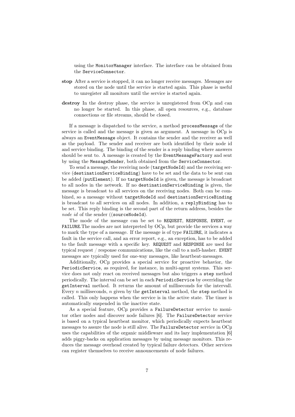using the MonitorManager interface. The interface can be obtained from the ServiceConnector.

- stop After a service is stopped, it can no longer receive messages. Messages are stored on the node until the service is started again. This phase is useful to unregister all monitors until the service is started again.
- destroy In the destroy phase, the service is unregistered from OCµ and can no longer be started. In this phase, all open resources, e.g., database connections or file streams, should be closed.

If a message is dispatched to the service, a method processMessage of the service is called and the message is given as argument. A message in  $O\mathbb{C}\mu$  is always an EventMessage object. It contains the sender and the receiver as well as the payload. The sender and receiver are both identified by their node id and service binding. The binding of the sender is a reply binding where answers should be sent to. A message is created by the EventMessageFactory and sent by using the MessageSender, both obtained from the ServiceConnector.

To send a message, the receiving node (targetNodeId) and the receiving service (destinationServiceBinding) have to be set and the data to be sent can be added (putElement). If no targetNodeId is given, the message is broadcast to all nodes in the network. If no destinationServiceBinding is given, the message is broadcast to all services on the receiving nodes. Both can be combined, so a message without targetNodeId and destinationServiceBinding is broadcast to all services on all nodes. In addition, a replyBinding has to be set. This reply binding is the second part of the return address, besides the node id of the sender ((sourceNodeId).

The mode of the message can be set to REQUEST, RESPONSE, EVENT, or FAILURE.The modes are not interpreted by OCµ, but provide the services a way to mark the type of a message. If the message is of type FAILURE, it indicates a fault in the service call, and an error report, e.g., an exception, has to be added to the fault message with a specific key. REQUEST and RESPONSE are used for typical request / response communications, like the call to a md5-hasher. EVENT messages are typically used for one-way messages, like heartbeat-messages.

Additionally, OCµ provides a special service for proactive behavior, the PeriodicService, as required, for instance, in multi-agent systems. This service does not only react on received messages but also triggers a step method periodically. The interval can be set in each PeriodicService by overriding the getInterval method. It returns the amount of milliseconds for the intervall. Every n milliseconds, n given by the getInterval method, the step method is called. This only happens when the service is in the active state. The timer is automatically suspended in the inactive state.

As a special feature, OCµ provides a FailureDetector service to monitor other nodes and discover node failures [\[6\]](#page-17-4). The FailureDetector service is based on a typical heartbeat monitor, which periodically expects heartbeat messages to assure the node is still alive. The FailureDetector service in OCµ uses the capabilities of the organic middleware and its lazy implementation [\[6\]](#page-17-4) adds piggy-backs on application messages by using message monitors. This reduces the message overhead created by typical failure detectors. Other services can register themselves to receive announcements of node failures.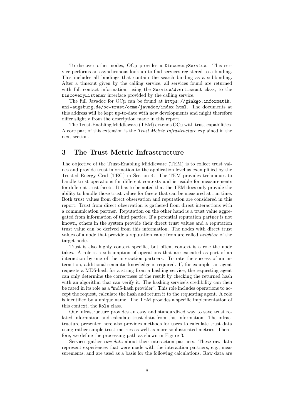To discover other nodes, OCµ provides a DiscoveryService. This service performs an asynchronous look-up to find services registered to a binding. This includes all bindings that contain the search binding as a subbinding. After a timeout given by the calling service, all services found are returned with full contact information, using the ServiceAdvertisment class, to the DiscoveryListener interface provided by the calling service.

The full Javadoc for OCµ can be found at [https://ginkgo.informatik.](https://ginkgo.informatik.uni-augsburg.de/oc-trust/ocmu/javadoc/index.html) [uni-augsburg.de/oc-trust/ocmu/javadoc/index.html](https://ginkgo.informatik.uni-augsburg.de/oc-trust/ocmu/javadoc/index.html). The documents at this address will be kept up-to-date with new developments and might therefore differ slightly from the description made in this report.

The Trust-Enabling Middleware (TEM) extends OCµ with trust capabilities. A core part of this extension is the Trust Metric Infrastructure explained in the next section.

## <span id="page-7-0"></span>3 The Trust Metric Infrastructure

The objective of the Trust-Enabling Middleware (TEM) is to collect trust values and provide trust information to the application level as exemplified by the Trusted Energy Grid (TEG) in Section [4.](#page-12-0) The TEM provides techniques to handle trust operations for different contexts and is usable for measurements for different trust facets. It has to be noted that the TEM does only provide the ability to handle those trust values for facets that can be measured at run time. Both trust values from direct observation and reputation are considered in this report. Trust from direct observation is gathered from direct interactions with a communication partner. Reputation on the other hand is a trust value aggregated from information of third parties. If a potential reputation partner is not known, others in the system provide their direct trust values and a reputation trust value can be derived from this information. The nodes with direct trust values of a node that provide a reputation value from are called neighbor of the target node.

Trust is also highly context specific, but often, context is a role the node takes. A role is a subsumption of operations that are executed as part of an interaction by one of the interaction partners. To rate the success of an interaction, additional semantic knowledge is required. If, for example, an agent requests a MD5-hash for a string from a hashing service, the requesting agent can only determine the correctness of the result by checking the returned hash with an algorithm that can verify it. The hashing service's credibility can then be rated in its role as a "md5-hash provider". This role includes operations to accept the request, calculate the hash and return it to the requesting agent. A role is identified by a unique name. The TEM provides a specific implementation of this context, the Role class.

Our infrastructure provides an easy and standardized way to save trust related information and calculate trust data from this information. The infrastructure presented here also provides methods for users to calculate trust data using rather simple trust metrics as well as more sophisticated metrics. Therefore, we define the processing path as shown in Figure [3.](#page-8-0)

Services gather raw data about their interaction partners. These raw data represent experiences that were made with the interaction partners, e.g., measurements, and are used as a basis for the following calculations. Raw data are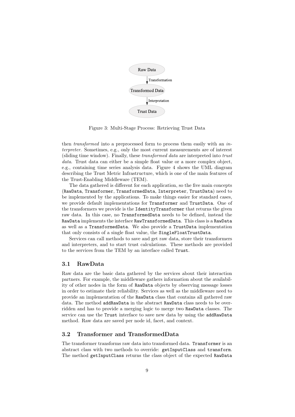

<span id="page-8-0"></span>Figure 3: Multi-Stage Process: Retrieving Trust Data

then *transformed* into a preprocessed form to process them easily with an *in*terpreter. Sometimes, e.g., only the most current measurements are of interest (sliding time window). Finally, these transformed data are interpreted into trust data. Trust data can either be a simple float value or a more complex object, e.g., containing time series analysis data. Figure [4](#page-9-0) shows the UML diagram describing the Trust Metric Infrastructure, which is one of the main features of the Trust-Enabling Middleware (TEM).

The data gathered is different for each application, so the five main concepts (RawData, Transformer, TransformedData, Interpreter, TrustData) need to be implemented by the applications. To make things easier for standard cases, we provide default implementations for Transformer and TrustData. One of the transformers we provide is the IdentityTransformer that returns the given raw data. In this case, no TransformedData needs to be defined, instead the RawData implements the interface RawTransformedData. This class is a RawData as well as a TransformedData. We also provide a TrustData implementation that only consists of a single float value, the SingleFloatTrustData.

Services can call methods to save and get raw data, store their transformers and interpreters, and to start trust calculations. These methods are provided to the services from the TEM by an interface called Trust.

#### 3.1 RawData

Raw data are the basic data gathered by the services about their interaction partners. For example, the middleware gathers information about the availability of other nodes in the form of RawData objects by observing message losses in order to estimate their reliability. Services as well as the middleware need to provide an implementation of the RawData class that contains all gathered raw data. The method addRawData in the abstract RawData class needs to be overridden and has to provide a merging logic to merge two RawData classes. The service can use the Trust interface to save new data by using the addRawData method. Raw data are saved per node id, facet, and context.

#### 3.2 Transformer and TransformedData

The transformer transforms raw data into transformed data. Transformer is an abstract class with two methods to override: getInputClass and transform. The method getInputClass returns the class object of the expected RawData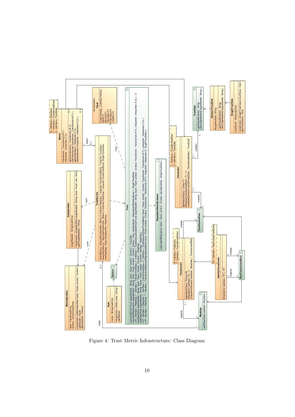

<span id="page-9-0"></span>Figure 4: Trust Metric Infrastructure: Class Diagram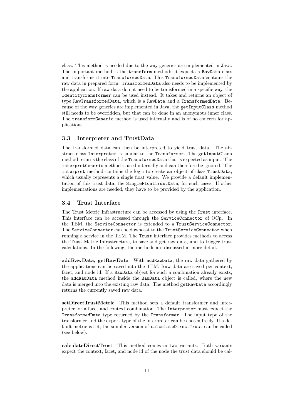class. This method is needed due to the way generics are implemented in Java. The important method is the transform method: it expects a RawData class and transforms it into TransformedData. This TransformedData contains the raw data in prepared form. TransformedData also needs to be implemented by the application. If raw data do not need to be transformed in a specific way, the IdentityTransformer can be used instead. It takes and returns an object of type RawTransformedData, which is a RawData and a TransformedData. Because of the way generics are implemented in Java, the getInputClass method still needs to be overridden, but that can be done in an anonymous inner class. The transformGeneric method is used internally and is of no concern for applications.

#### 3.3 Interpreter and TrustData

The transformed data can then be interpreted to yield trust data. The abstract class Interpreter is similar to the Transformer. The getInputClass method returns the class of the TransformedData that is expected as input. The interpretGeneric method is used internally and can therefore be ignored. The interpret method contains the logic to create an object of class TrustData, which usually represents a single float value. We provide a default implementation of this trust data, the SingleFloatTrustData, for such cases. If other implementations are needed, they have to be provided by the application.

#### 3.4 Trust Interface

The Trust Metric Infrastructure can be accessed by using the Trust interface. This interface can be accessed through the ServiceConnector of OCµ. In the TEM, the ServiceConnector is extended to a TrustServiceConnector. The ServiceConnector can be downcast to the TrustServiceConnector when running a service in the TEM. The Trust interface provides methods to access the Trust Metric Infrastructure, to save and get raw data, and to trigger trust calculations. In the following, the methods are discussed in more detail.

addRawData, getRawData With addRawData, the raw data gathered by the applications can be saved into the TEM. Raw data are saved per context, facet, and node id. If a RawData object for such a combination already exists, the addRawData method inside the RawData object is called, where the new data is merged into the existing raw data. The method getRawData accordingly returns the currently saved raw data.

setDirectTrustMetric This method sets a default transformer and interpreter for a facet and context combination. The Interpreter must expect the TransformedData type returned by the Transformer. The input type of the transformer and the export type of the interpreter can be chosen freely. If a default metric is set, the simpler version of calculateDirectTrust can be called (see below).

calculateDirectTrust This method comes in two variants. Both variants expect the context, facet, and node id of the node the trust data should be cal-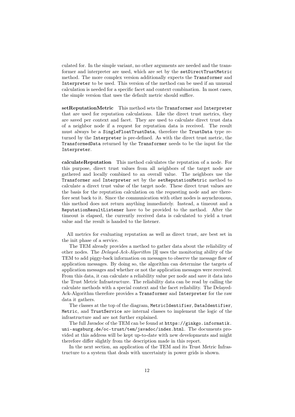culated for. In the simple variant, no other arguments are needed and the transformer and interpreter are used, which are set by the setDirectTrustMetric method. The more complex version additionally expects the Transformer and Interpreter to be used. This version of the method can be used if an unusual calculation is needed for a specific facet and context combination. In most cases, the simple version that uses the default metric should suffice.

setReputationMetric This method sets the Transformer and Interpreter that are used for reputation calculations. Like the direct trust metrics, they are saved per context and facet. They are used to calculate direct trust data of a neighbor node if a request for reputation data is received. The result must always be a SingleFloatTrustData, therefore the TrustData type returned by the Interpreter is pre-defined. As with the direct trust metric, the TransformedData returned by the Transformer needs to be the input for the Interpreter.

calculateReputation This method calculates the reputation of a node. For this purpose, direct trust values from all neighbors of the target node are gathered and locally combined to an overall value. The neighbors use the Transformer and Interpreter set by the setReputationMetric method to calculate a direct trust value of the target node. These direct trust values are the basis for the reputation calculation on the requesting node and are therefore sent back to it. Since the communication with other nodes is asynchronous, this method does not return anything immediately. Instead, a timeout and a ReputationResultListener have to be provided to the method. After the timeout is elapsed, the currently received data is calculated to yield a trust value and the result is handed to the listener.

All metrics for evaluating reputation as well as direct trust, are best set in the init phase of a service.

The TEM already provides a method to gather data about the reliability of other nodes. The Delayed-Ack-Algorithm [\[3\]](#page-17-5) uses the monitoring ability of the TEM to add piggy-back information on messages to observe the message flow of application messages. By doing so, the algorithm can determine the targets of application messages and whether or not the application messages were received. From this data, it can calculate a reliability value per node and save it data into the Trust Metric Infrastructure. The reliability data can be read by calling the calculate methods with a special context and the facet reliability. The Delayed-Ack-Algorithm therefore provides a Transformer and Interpreter for the raw data it gathers.

The classes at the top of the diagram, MetricIdentifier, DataIdentifier, Metric, and TrustService are internal classes to implement the logic of the infrastructure and are not further explained.

The full Javadoc of the TEM can be found at [https://ginkgo.informatik.](https://ginkgo.informatik.uni-augsburg.de/oc-trust/tem/javadoc/index.html) [uni-augsburg.de/oc-trust/tem/javadoc/index.html](https://ginkgo.informatik.uni-augsburg.de/oc-trust/tem/javadoc/index.html). The documents provided at this address will be kept up-to-date with new developments and might therefore differ slightly from the description made in this report.

In the next section, an application of the TEM and its Trust Metric Infrastructure to a system that deals with uncertainty in power grids is shown.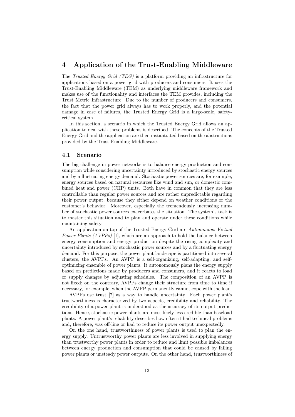## <span id="page-12-0"></span>4 Application of the Trust-Enabling Middleware

The Trusted Energy Grid (TEG) is a platform providing an infrastructure for applications based on a power grid with producers and consumers. It uses the Trust-Enabling Middleware (TEM) as underlying middleware framework and makes use of the functionality and interfaces the TEM provides, including the Trust Metric Infrastructure. Due to the number of producers and consumers, the fact that the power grid always has to work properly, and the potential damage in case of failures, the Trusted Energy Grid is a large-scale, safetycritical system.

In this section, a scenario in which the Trusted Energy Grid allows an application to deal with these problems is described. The concepts of the Trusted Energy Grid and the application are then instantiated based on the abstractions provided by the Trust-Enabling Middleware.

#### 4.1 Scenario

The big challenge in power networks is to balance energy production and consumption while considering uncertainty introduced by stochastic energy sources and by a fluctuating energy demand. Stochastic power sources are, for example, energy sources based on natural resources like wind and sun, or domestic combined heat and power (CHP) units. Both have in common that they are less controllable than regular power sources and are rather unpredictable regarding their power output, because they either depend on weather conditions or the customer's behavior. Moreover, especially the tremendously increasing number of stochastic power sources exacerbates the situation. The system's task is to master this situation and to plan and operate under these conditions while maintaining safety.

An application on top of the Trusted Energy Grid are Autonomous Virtual Power Plants (AVPPs) [\[1\]](#page-17-6), which are an approach to hold the balance between energy consumption and energy production despite the rising complexity and uncertainty introduced by stochastic power sources and by a fluctuating energy demand. For this purpose, the power plant landscape is partitioned into several clusters, the AVPPs. An AVPP is a self-organizing, self-adapting, and selfoptimizing ensemble of power plants. It autonomously plans the energy supply based on predictions made by producers and consumers, and it reacts to load or supply changes by adjusting schedules. The composition of an AVPP is not fixed; on the contrary, AVPPs change their structure from time to time if necessary, for example, when the AVPP permanently cannot cope with the load.

AVPPs use trust [\[7\]](#page-17-2) as a way to handle uncertainty. Each power plant's trustworthiness is characterized by two aspects, credibility and reliability. The credibility of a power plant is understood as the accuracy of its output predictions. Hence, stochastic power plants are most likely less credible than baseload plants. A power plant's reliability describes how often it had technical problems and, therefore, was off-line or had to reduce its power output unexpectedly.

On the one hand, trustworthiness of power plants is used to plan the energy supply. Untrustworthy power plants are less involved in supplying energy than trustworthy power plants in order to reduce and limit possible imbalances between energy production and consumption that could be caused by failing power plants or unsteady power outputs. On the other hand, trustworthiness of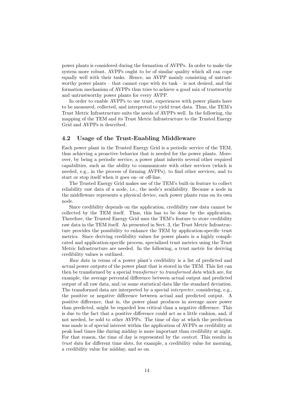power plants is considered during the formation of AVPPs. In order to make the system more robust, AVPPs ought to be of similar quality which all can cope equally well with their tasks. Hence, an AVPP mainly consisting of untrustworthy power plants – that cannot cope with its task – is not desired, and the formation mechanism of AVPPs thus tries to achieve a good mix of trustworthy and untrustworthy power plants for every AVPP.

In order to enable AVPPs to use trust, experiences with power plants have to be measured, collected, and interpreted to yield trust data. Thus, the TEM's Trust Metric Infrastructure suits the needs of AVPPs well. In the following, the mapping of the TEM and its Trust Metric Infrastructure to the Trusted Energy Grid and AVPPs is described.

#### 4.2 Usage of the Trust-Enabling Middleware

Each power plant in the Trusted Energy Grid is a periodic service of the TEM, thus achieving a proactive behavior that is needed for the power plants. Moreover, by being a periodic service, a power plant inherits several other required capabilities, such as the ability to communicate with other services (which is needed, e.g., in the process of forming AVPPs), to find other services, and to start or stop itself when it goes on- or off-line.

The Trusted Energy Grid makes use of the TEM's built-in feature to collect reliability raw data of a node, i.e., the node's availability. Because a node in the middleware represents a physical device, each power plants runs on its own node.

Since credibility depends on the application, credibility raw data cannot be collected by the TEM itself. Thus, this has to be done by the application. Therefore, the Trusted Energy Grid uses the TEM's feature to store credibility raw data in the TEM itself. As presented in Sect. [3,](#page-7-0) the Trust Metric Infrastructure provides the possibility to enhance the TEM by application-specific trust metrics. Since deriving credibility values for power plants is a highly complicated and application-specific process, specialized trust metrics using the Trust Metric Infrastructure are needed. In the following, a trust metric for deriving credibility values is outlined.

Raw data in terms of a power plant's credibility is a list of predicted and actual power outputs of the power plant that is stored in the TEM. This list can then be transformed by a special *transformer* to *transformed data* which are, for example, the average percental difference between actual output and predicted output of all raw data, and/or some statistical data like the standard deviation. The transformed data are interpreted by a special *interpreter*, considering, e.g., the positive or negative difference between actual and predicted output. A positive difference, that is, the power plant produces in average more power than predicted, might be regarded less critical than a negative difference. This is due to the fact that a positive difference could act as a little cushion, and, if not needed, be sold to other AVPPs. The time of day at which the prediction was made is of special interest within the application of AVPPs as credibility at peak load times like during midday is more important than credibility at night. For that reason, the time of day is represented by the *context*. This results in trust data for different time slots, for example, a credibility value for morning, a credibility value for midday, and so on.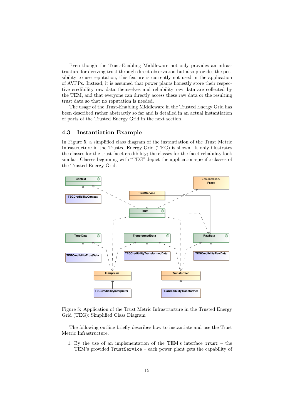Even though the Trust-Enabling Middleware not only provides an infrastructure for deriving trust through direct observation but also provides the possibility to use reputation, this feature is currently not used in the application of AVPPs. Instead, it is assumed that power plants honestly store their respective credibility raw data themselves and reliability raw data are collected by the TEM, and that everyone can directly access these raw data or the resulting trust data so that no reputation is needed.

The usage of the Trust-Enabling Middleware in the Trusted Energy Grid has been described rather abstractly so far and is detailed in an actual instantiation of parts of the Trusted Energy Grid in the next section.

#### 4.3 Instantiation Example

In Figure [5,](#page-14-0) a simplified class diagram of the instantiation of the Trust Metric Infrastructure in the Trusted Energy Grid (TEG) is shown. It only illustrates the classes for the trust facet credibility; the classes for the facet reliability look similar. Classes beginning with "TEG" depict the application-specific classes of the Trusted Energy Grid.



<span id="page-14-0"></span>Figure 5: Application of the Trust Metric Infrastructure in the Trusted Energy Grid (TEG): Simplified Class Diagram

The following outline briefly describes how to instantiate and use the Trust Metric Infrastructure.

1. By the use of an implementation of the TEM's interface Trust – the TEM's provided TrustService – each power plant gets the capability of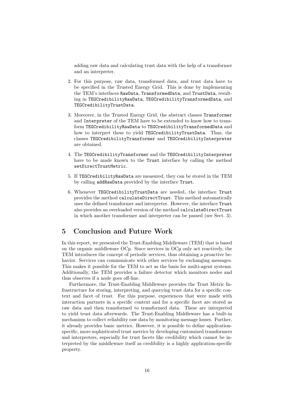adding raw data and calculating trust data with the help of a transformer and an interpreter.

- 2. For this purpose, raw data, transformed data, and trust data have to be specified in the Trusted Energy Grid. This is done by implementing the TEM's interfaces RawData, TransformedData, and TrustData, resulting in TEGCredibilityRawData, TEGCredibilityTransformedData, and TEGCredibilityTrustData.
- 3. Moreover, in the Trusted Energy Grid, the abstract classes Transformer and Interpreter of the TEM have to be extended to know how to transform TEGCredibilityRawData to TEGCredibilityTransformedData and how to interpret these to yield TEGCredibilityTrustData. Thus, the classes TEGCredibilityTransformer and TEGCredibilityInterpreter are obtained.
- 4. The TEGCredibilityTransformer and the TEGCredibilityInterpreter have to be made known to the Trust interface by calling the method setDirectTrustMetric.
- 5. If TEGCredibilityRawData are measured, they can be stored in the TEM by calling addRawData provided by the interface Trust.
- 6. Whenever TEGCredibilityTrustData are needed, the interface Trust provides the method calculateDirectTrust. This method automatically uses the defined transformer and interpreter. However, the interface Trust also provides an overloaded version of the method calculateDirectTrust in which another transformer and interpreter can be passed (see Sect. [3\)](#page-7-0).

## <span id="page-15-0"></span>5 Conclusion and Future Work

In this report, we presented the Trust-Enabling Middleware (TEM) that is based on the organic middleware OCµ. Since services in OCµ only act reactively, the TEM introduces the concept of periodic services, thus obtaining a proactive behavior. Services can communicate with other services by exchanging messages. This makes it possible for the TEM to act as the basis for multi-agent systems. Additionally, the TEM provides a failure detector which monitors nodes and thus observes if a node goes off-line.

Furthermore, the Trust-Enabling Middleware provides the Trust Metric Infrastructure for storing, interpreting, and querying trust data for a specific context and facet of trust. For this purpose, experiences that were made with interaction partners in a specific context and for a specific facet are stored as raw data and then transformed to transformed data. These are interpreted to yield trust data afterwards. The Trust-Enabling Middleware has a built-in mechanism to collect reliability raw data by monitoring message losses. Further, it already provides basic metrics. However, it is possible to define applicationspecific, more sophisticated trust metrics by developing customized transformers and interpreters, especially for trust facets like credibility which cannot be interpreted by the middleware itself as credibility is a highly application-specific property.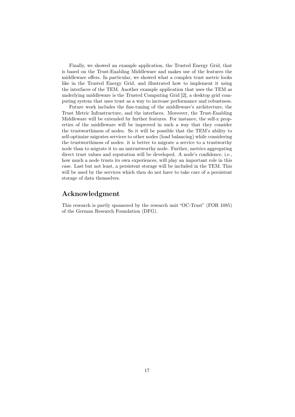Finally, we showed an example application, the Trusted Energy Grid, that is based on the Trust-Enabling Middleware and makes use of the features the middleware offers. In particular, we showed what a complex trust metric looks like in the Trusted Energy Grid, and illustrated how to implement it using the interfaces of the TEM. Another example application that uses the TEM as underlying middleware is the Trusted Computing Grid [\[2\]](#page-17-7), a desktop grid computing system that uses trust as a way to increase performance and robustness.

Future work includes the fine-tuning of the middleware's architecture, the Trust Metric Infrastructure, and the interfaces. Moreover, the Trust-Enabling Middleware will be extended by further features. For instance, the self-x properties of the middleware will be improved in such a way that they consider the trustworthiness of nodes. So it will be possible that the TEM's ability to self-optimize migrates services to other nodes (load balancing) while considering the trustworthiness of nodes: it is better to migrate a service to a trustworthy node than to migrate it to an untrustworthy node. Further, metrics aggregating direct trust values and reputation will be developed. A node's confidence, i.e., how much a node trusts its own experiences, will play an important role in this case. Last but not least, a persistent storage will be included in the TEM. This will be used by the services which then do not have to take care of a persistent storage of data themselves.

## Acknowledgment

This research is partly sponsored by the research unit "OC-Trust" (FOR 1085) of the German Research Foundation (DFG).